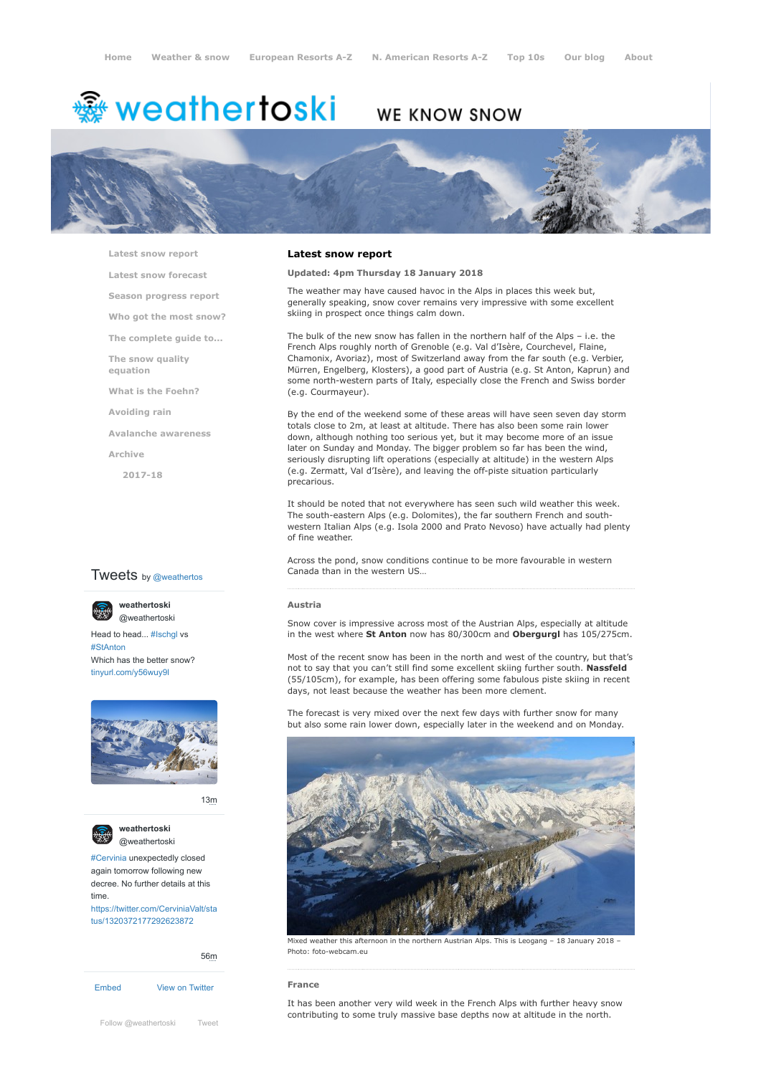# <del>鑾</del> weathertoski

# WE KNOW SNOW



**[Latest snow report](https://www.weathertoski.co.uk/weather-snow/latest-snow-report/)**

**[Latest snow forecast](https://www.weathertoski.co.uk/weather-snow/latest-snow-forecast/)**

**[Season progress report](https://www.weathertoski.co.uk/weather-snow/season-progress-report/)**

**[Who got the most snow?](https://www.weathertoski.co.uk/weather-snow/who-got-the-most-snow/)**

**[The complete guide to...](https://www.weathertoski.co.uk/weather-snow/the-complete-guide-to/)**

**[The snow quality](https://www.weathertoski.co.uk/weather-snow/the-snow-quality-equation/)**

**[What is the Foehn?](https://www.weathertoski.co.uk/weather-snow/what-is-the-foehn/)**

**[Avoiding rain](https://www.weathertoski.co.uk/weather-snow/avoiding-rain/)**

**[Avalanche awareness](https://www.weathertoski.co.uk/weather-snow/avalanche-awareness/)**

**[Archive](https://www.weathertoski.co.uk/weather-snow/archive/)**

**equation**

**[2017-18](https://www.weathertoski.co.uk/weather-snow/archive/2017-18/)**

# **Tweets** by @weathertos

**weathertoski**



Head to head... [#Ischgl](https://twitter.com/hashtag/Ischgl?src=hash) vs [#StAnton](https://twitter.com/hashtag/StAnton?src=hash) Which has the better snow? [@weathertoski](https://twitter.com/weathertoski)

[tinyurl.com/y56wuy9l](https://t.co/AeKkyB0N9S)



[13m](https://twitter.com/weathertoski/status/1320387692862050304)



**weathertoski** [@weathertoski](https://twitter.com/weathertoski)

[#Cervinia](https://twitter.com/hashtag/Cervinia?src=hash) unexpectedly closed again tomorrow following new decree. No further details at this time. [https://twitter.com/CerviniaValt/sta](https://twitter.com/CerviniaValt/status/1320372177292623872)

tus/1320372177292623872

[Embed](https://publish.twitter.com/?url=https%3A%2F%2Ftwitter.com%2Fweathertoski) [View on Twitter](https://twitter.com/weathertoski) [56m](https://twitter.com/weathertoski/status/1320376647305093126) [Follow @weathertoski](https://twitter.com/intent/follow?original_referer=https%3A%2F%2Fwww.weathertoski.co.uk%2F&ref_src=twsrc%5Etfw®ion=follow_link&screen_name=weathertoski&tw_p=followbutton) [Tweet](https://twitter.com/intent/tweet?original_referer=https%3A%2F%2Fwww.weathertoski.co.uk%2F&ref_src=twsrc%5Etfw&text=Weather%20to%20ski%20-%20Snow%20report%20-%2018%20January%202018&tw_p=tweetbutton&url=https%3A%2F%2Fwww.weathertoski.co.uk%2Fweather-snow%2Farchive%2Fsnow-report-18-january-2018%2F)

### **Latest snow report**

# **Updated: 4pm Thursday 18 January 2018**

The weather may have caused havoc in the Alps in places this week but, generally speaking, snow cover remains very impressive with some excellent skiing in prospect once things calm down.

The bulk of the new snow has fallen in the northern half of the Alps – i.e. the French Alps roughly north of Grenoble (e.g. Val d'Isère, Courchevel, Flaine, Chamonix, Avoriaz), most of Switzerland away from the far south (e.g. Verbier, Mürren, Engelberg, Klosters), a good part of Austria (e.g. St Anton, Kaprun) and some north-western parts of Italy, especially close the French and Swiss border (e.g. Courmayeur).

By the end of the weekend some of these areas will have seen seven day storm totals close to 2m, at least at altitude. There has also been some rain lower down, although nothing too serious yet, but it may become more of an issue later on Sunday and Monday. The bigger problem so far has been the wind, seriously disrupting lift operations (especially at altitude) in the western Alps (e.g. Zermatt, Val d'Isère), and leaving the off-piste situation particularly precarious.

It should be noted that not everywhere has seen such wild weather this week. The south-eastern Alps (e.g. Dolomites), the far southern French and southwestern Italian Alps (e.g. Isola 2000 and Prato Nevoso) have actually had plenty of fine weather.

Across the pond, snow conditions continue to be more favourable in western Canada than in the western US…

#### **Austria**

Snow cover is impressive across most of the Austrian Alps, especially at altitude in the west where **St Anton** now has 80/300cm and **Obergurgl** has 105/275cm.

Most of the recent snow has been in the north and west of the country, but that's not to say that you can't still find some excellent skiing further south. **Nassfeld** (55/105cm), for example, has been offering some fabulous piste skiing in recent days, not least because the weather has been more clement.

The forecast is very mixed over the next few days with further snow for many but also some rain lower down, especially later in the weekend and on Monday.



Mixed weather this afternoon in the northern Austrian Alps. This is Leogang – 18 January 2018 – Photo: foto-webcam.eu

# **France**

It has been another very wild week in the French Alps with further heavy snow contributing to some truly massive base depths now at altitude in the north.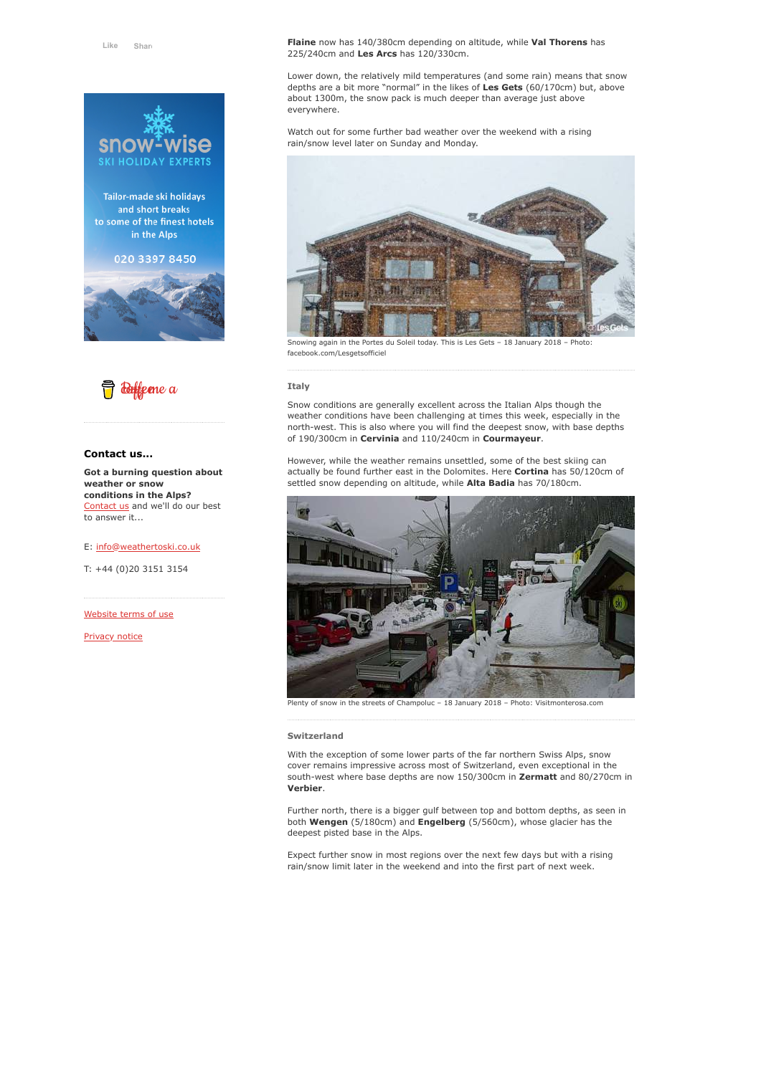

Tailor-made ski holidays and short breaks to some of the finest hotels in the Alps







# **Contact us...**

**Got a burning question about weather or snow conditions in the Alps?** [Contact us](https://www.weathertoski.co.uk/about-1/contact-us/) and we'll do our best to answer it...

#### E: [info@weathertoski.co.uk](mailto:fraser@weathertoski.co.uk)

T: +44 (0)20 3151 3154

[Website terms of use](https://www.weathertoski.co.uk/about-1/website-terms-of-use/)

[Privacy notice](https://www.weathertoski.co.uk/about-1/privacy-notice/)

**Flaine** now has 140/380cm depending on altitude, while **Val Thorens** has 225/240cm and **Les Arcs** has 120/330cm.

Lower down, the relatively mild temperatures (and some rain) means that snow depths are a bit more "normal" in the likes of **Les Gets** (60/170cm) but, above about 1300m, the snow pack is much deeper than average just above everywhere.

Watch out for some further bad weather over the weekend with a rising rain/snow level later on Sunday and Monday.



Snowing again in the Portes du Soleil today. This is Les Gets – 18 January 2018 – Photo: facebook.com/Lesgetsofficiel

#### **Italy**

Snow conditions are generally excellent across the Italian Alps though the weather conditions have been challenging at times this week, especially in the north-west. This is also where you will find the deepest snow, with base depths of 190/300cm in **Cervinia** and 110/240cm in **Courmayeur**.

However, while the weather remains unsettled, some of the best skiing can actually be found further east in the Dolomites. Here **Cortina** has 50/120cm of settled snow depending on altitude, while **Alta Badia** has 70/180cm.



Plenty of snow in the streets of Champoluc – 18 January 2018 – Photo: Visitmonterosa.com

#### **Switzerland**

With the exception of some lower parts of the far northern Swiss Alps, snow cover remains impressive across most of Switzerland, even exceptional in the south-west where base depths are now 150/300cm in **Zermatt** and 80/270cm in **Verbier**.

Further north, there is a bigger gulf between top and bottom depths, as seen in both **Wengen** (5/180cm) and **Engelberg** (5/560cm), whose glacier has the deepest pisted base in the Alps.

Expect further snow in most regions over the next few days but with a rising rain/snow limit later in the weekend and into the first part of next week.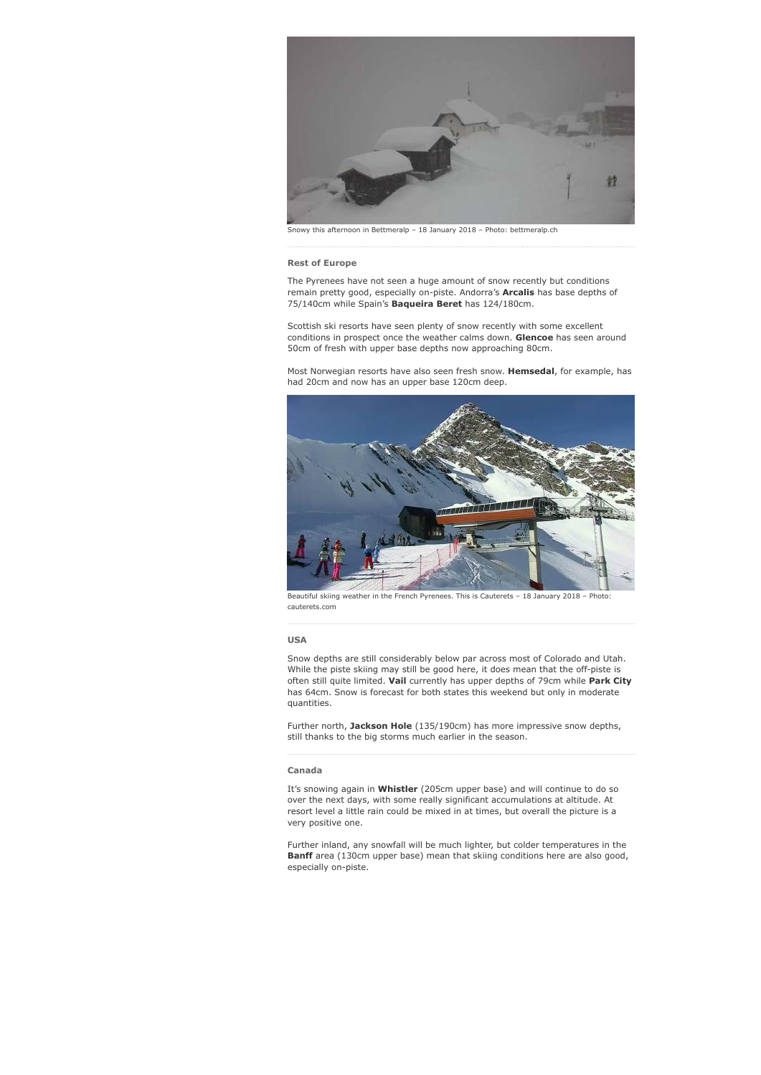

Snowy this afternoon in Bettmeralp – 18 January 2018 – Photo: bettmeralp.ch

#### **Rest of Europe**

The Pyrenees have not seen a huge amount of snow recently but conditions remain pretty good, especially on-piste. Andorra's **Arcalis** has base depths of 75/140cm while Spain's **Baqueira Beret** has 124/180cm.

Scottish ski resorts have seen plenty of snow recently with some excellent conditions in prospect once the weather calms down. **Glencoe** has seen around 50cm of fresh with upper base depths now approaching 80cm.

Most Norwegian resorts have also seen fresh snow. **Hemsedal**, for example, has had 20cm and now has an upper base 120cm deep.



Beautiful skiing weather in the French Pyrenees. This is Cauterets – 18 January 2018 – Photo: cauterets.com

#### **USA**

Snow depths are still considerably below par across most of Colorado and Utah. While the piste skiing may still be good here, it does mean that the off-piste is often still quite limited. **Vail** currently has upper depths of 79cm while **Park City** has 64cm. Snow is forecast for both states this weekend but only in moderate quantities.

Further north, **Jackson Hole** (135/190cm) has more impressive snow depths, still thanks to the big storms much earlier in the season.

## **Canada**

It's snowing again in **Whistler** (205cm upper base) and will continue to do so over the next days, with some really significant accumulations at altitude. At resort level a little rain could be mixed in at times, but overall the picture is a very positive one.

Further inland, any snowfall will be much lighter, but colder temperatures in the **Banff** area (130cm upper base) mean that skiing conditions here are also good, especially on-piste.